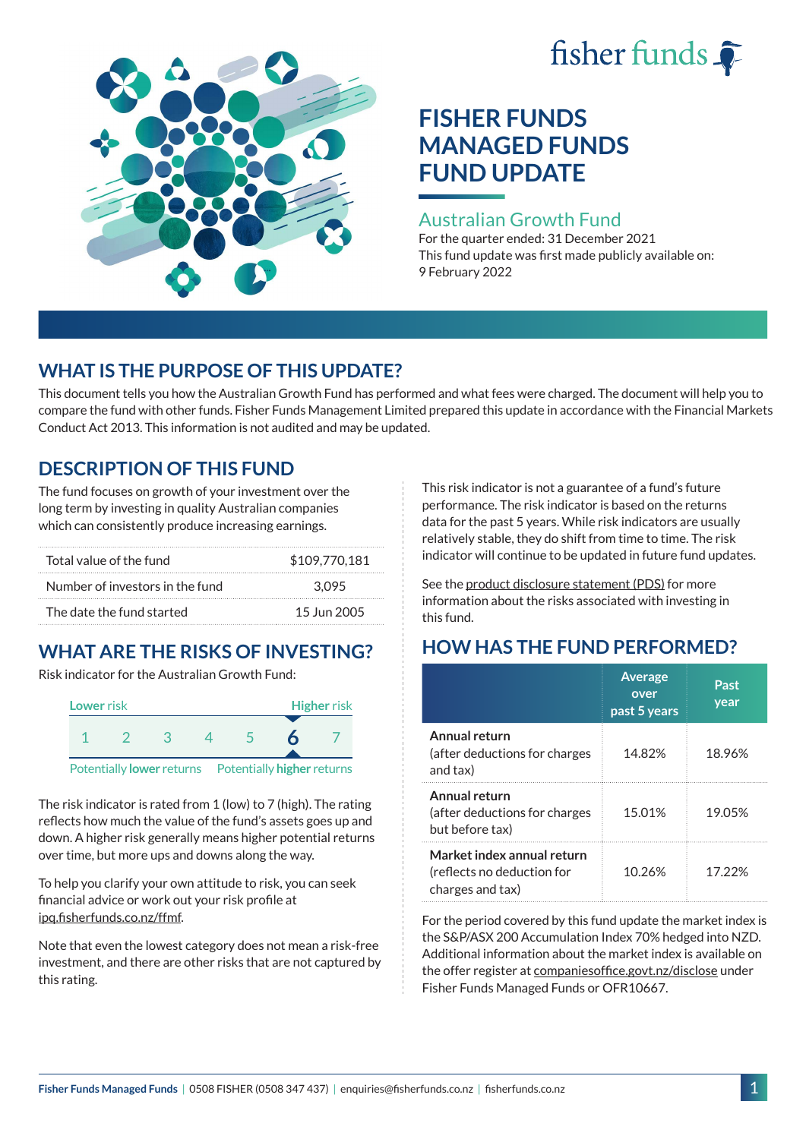# fisher funds  $\hat{\bullet}$



# **FISHER FUNDS MANAGED FUNDS FUND UPDATE**

## Australian Growth Fund

For the quarter ended: 31 December 2021 This fund update was first made publicly available on: 9 February 2022

## **WHAT IS THE PURPOSE OF THIS UPDATE?**

This document tells you how the Australian Growth Fund has performed and what fees were charged. The document will help you to compare the fund with other funds. Fisher Funds Management Limited prepared this update in accordance with the Financial Markets Conduct Act 2013. This information is not audited and may be updated.

# **DESCRIPTION OF THIS FUND**

The fund focuses on growth of your investment over the long term by investing in quality Australian companies which can consistently produce increasing earnings.

| Total value of the fund         | \$109,770,181 |
|---------------------------------|---------------|
| Number of investors in the fund | 3.095         |
| The date the fund started       | 15 Jun 2005   |

# **WHAT ARE THE RISKS OF INVESTING?**

Risk indicator for the Australian Growth Fund:



The risk indicator is rated from 1 (low) to 7 (high). The rating reflects how much the value of the fund's assets goes up and down. A higher risk generally means higher potential returns over time, but more ups and downs along the way.

To help you clarify your own attitude to risk, you can seek financial advice or work out your risk profile at [ipq.fisherfunds.co.nz/ffmf](https://ipq.fisherfunds.co.nz/ffmf).

Note that even the lowest category does not mean a risk-free investment, and there are other risks that are not captured by this rating.

This risk indicator is not a guarantee of a fund's future performance. The risk indicator is based on the returns data for the past 5 years. While risk indicators are usually relatively stable, they do shift from time to time. The risk indicator will continue to be updated in future fund updates.

See the [product disclosure statement \(PDS\)](https://fisherfunds.co.nz/assets/PDS/Fisher-Funds-Managed-Funds-PDS.pdf) for more information about the risks associated with investing in this fund.

# **HOW HAS THE FUND PERFORMED?**

|                                                                              | <b>Average</b><br>over<br>past 5 years | Past<br>year |
|------------------------------------------------------------------------------|----------------------------------------|--------------|
| Annual return<br>(after deductions for charges<br>and tax)                   | 14.82%                                 | 18.96%       |
| Annual return<br>(after deductions for charges<br>but before tax)            | 15.01%                                 | 19.05%       |
| Market index annual return<br>(reflects no deduction for<br>charges and tax) | 10.26%                                 | 17 22%       |

For the period covered by this fund update the market index is the S&P/ASX 200 Accumulation Index 70% hedged into NZD. Additional information about the market index is available on the offer register at [companiesoffice.govt.nz/disclose](http://companiesoffice.govt.nz/disclose) under Fisher Funds Managed Funds or OFR10667.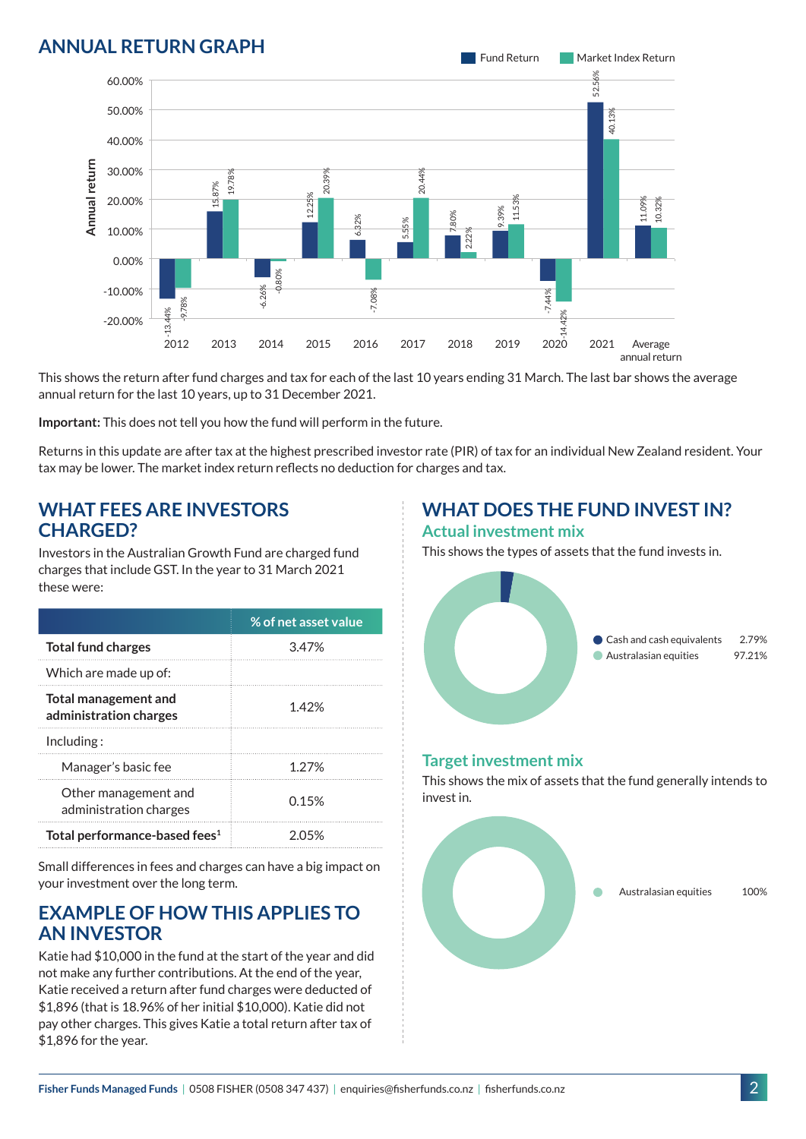## **ANNUAL RETURN GRAPH**



This shows the return after fund charges and tax for each of the last 10 years ending 31 March. The last bar shows the average annual return for the last 10 years, up to 31 December 2021.

**Important:** This does not tell you how the fund will perform in the future.

Returns in this update are after tax at the highest prescribed investor rate (PIR) of tax for an individual New Zealand resident. Your tax may be lower. The market index return reflects no deduction for charges and tax.

#### **WHAT FEES ARE INVESTORS CHARGED?**

Investors in the Australian Growth Fund are charged fund charges that include GST. In the year to 31 March 2021 these were:

|                                                       | % of net asset value |
|-------------------------------------------------------|----------------------|
| <b>Total fund charges</b>                             | 3.47%                |
| Which are made up of:                                 |                      |
| <b>Total management and</b><br>administration charges | 142%                 |
| Inding:                                               |                      |
| Manager's basic fee                                   | 1 27%                |
| Other management and<br>administration charges        | 0.15%                |
| Total performance-based fees <sup>1</sup>             | 2 05%                |

Small differences in fees and charges can have a big impact on your investment over the long term.

#### **EXAMPLE OF HOW THIS APPLIES TO AN INVESTOR**

Katie had \$10,000 in the fund at the start of the year and did not make any further contributions. At the end of the year, Katie received a return after fund charges were deducted of \$1,896 (that is 18.96% of her initial \$10,000). Katie did not pay other charges. This gives Katie a total return after tax of \$1,896 for the year.

# **WHAT DOES THE FUND INVEST IN?**

#### **Actual investment mix**

This shows the types of assets that the fund invests in.



#### **Target investment mix**

This shows the mix of assets that the fund generally intends to invest in.